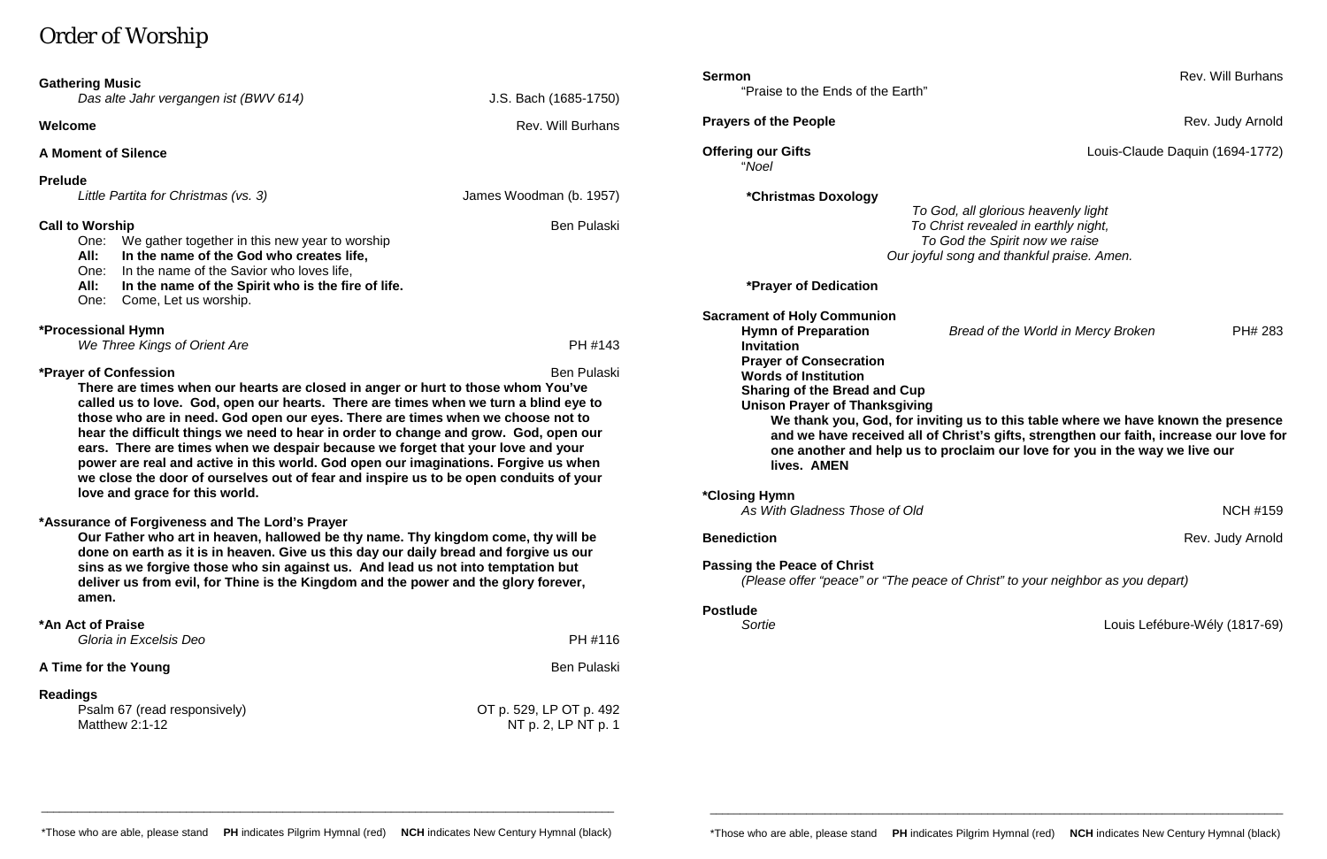# Order of Worship

| <b>Gathering Music</b><br>Das alte Jahr vergangen ist (BWV 614)                                                                                                                                                                                                                                                                                                                                                                                                                                                                                                                                                                                                                                         | J.S. Bach (1685-1750)                          | <b>Sermon</b><br>"Praise to the Ends of the Earth"                                                                                                                                                                                                                                                                                                                                                                                                                                            | Rev. Will Burhans                             |
|---------------------------------------------------------------------------------------------------------------------------------------------------------------------------------------------------------------------------------------------------------------------------------------------------------------------------------------------------------------------------------------------------------------------------------------------------------------------------------------------------------------------------------------------------------------------------------------------------------------------------------------------------------------------------------------------------------|------------------------------------------------|-----------------------------------------------------------------------------------------------------------------------------------------------------------------------------------------------------------------------------------------------------------------------------------------------------------------------------------------------------------------------------------------------------------------------------------------------------------------------------------------------|-----------------------------------------------|
| Welcome                                                                                                                                                                                                                                                                                                                                                                                                                                                                                                                                                                                                                                                                                                 | Rev. Will Burhans                              | <b>Prayers of the People</b>                                                                                                                                                                                                                                                                                                                                                                                                                                                                  | Rev. Judy Arnold                              |
| <b>A Moment of Silence</b>                                                                                                                                                                                                                                                                                                                                                                                                                                                                                                                                                                                                                                                                              |                                                | <b>Offering our Gifts</b><br>"Noel                                                                                                                                                                                                                                                                                                                                                                                                                                                            | Louis-Claude Daquin (1694-1772)               |
| <b>Prelude</b><br>Little Partita for Christmas (vs. 3)                                                                                                                                                                                                                                                                                                                                                                                                                                                                                                                                                                                                                                                  | James Woodman (b. 1957)                        | <i><b>*Christmas Doxology</b></i>                                                                                                                                                                                                                                                                                                                                                                                                                                                             | To God, all glorious heavenly light           |
| <b>Call to Worship</b><br><b>Ben Pulaski</b><br>We gather together in this new year to worship<br>One:<br>In the name of the God who creates life,<br>All:<br>In the name of the Savior who loves life,<br>One:<br>All:<br>In the name of the Spirit who is the fire of life.                                                                                                                                                                                                                                                                                                                                                                                                                           |                                                | To Christ revealed in earthly night,<br>To God the Spirit now we raise<br>Our joyful song and thankful praise. Amen.<br><b>*Prayer of Dedication</b>                                                                                                                                                                                                                                                                                                                                          |                                               |
| One:<br>Come, Let us worship.<br><b>*Processional Hymn</b><br>We Three Kings of Orient Are                                                                                                                                                                                                                                                                                                                                                                                                                                                                                                                                                                                                              | PH #143                                        | <b>Sacrament of Holy Communion</b><br><b>Hymn of Preparation</b><br><b>Invitation</b>                                                                                                                                                                                                                                                                                                                                                                                                         | Bread of the World in Mercy Broken<br>PH# 283 |
| *Prayer of Confession<br><b>Ben Pulaski</b><br>There are times when our hearts are closed in anger or hurt to those whom You've<br>called us to love. God, open our hearts. There are times when we turn a blind eye to<br>those who are in need. God open our eyes. There are times when we choose not to<br>hear the difficult things we need to hear in order to change and grow. God, open our<br>ears. There are times when we despair because we forget that your love and your<br>power are real and active in this world. God open our imaginations. Forgive us when<br>we close the door of ourselves out of fear and inspire us to be open conduits of your<br>love and grace for this world. |                                                | <b>Prayer of Consecration</b><br><b>Words of Institution</b><br><b>Sharing of the Bread and Cup</b><br><b>Unison Prayer of Thanksgiving</b><br>We thank you, God, for inviting us to this table where we have known the presence<br>and we have received all of Christ's gifts, strengthen our faith, increase our love fo<br>one another and help us to proclaim our love for you in the way we live our<br>lives. AMEN<br>*Closing Hymn<br>As With Gladness Those of Old<br><b>NCH #159</b> |                                               |
| *Assurance of Forgiveness and The Lord's Prayer<br>Our Father who art in heaven, hallowed be thy name. Thy kingdom come, thy will be<br>done on earth as it is in heaven. Give us this day our daily bread and forgive us our<br>sins as we forgive those who sin against us. And lead us not into temptation but<br>deliver us from evil, for Thine is the Kingdom and the power and the glory forever,<br>amen.                                                                                                                                                                                                                                                                                       |                                                | <b>Benediction</b><br>Rev. Judy Arnold<br><b>Passing the Peace of Christ</b><br>(Please offer "peace" or "The peace of Christ" to your neighbor as you depart)                                                                                                                                                                                                                                                                                                                                |                                               |
| *An Act of Praise<br>Gloria in Excelsis Deo                                                                                                                                                                                                                                                                                                                                                                                                                                                                                                                                                                                                                                                             | PH #116                                        | <b>Postlude</b><br>Sortie                                                                                                                                                                                                                                                                                                                                                                                                                                                                     | Louis Lefébure-Wély (1817-69)                 |
| A Time for the Young                                                                                                                                                                                                                                                                                                                                                                                                                                                                                                                                                                                                                                                                                    | <b>Ben Pulaski</b>                             |                                                                                                                                                                                                                                                                                                                                                                                                                                                                                               |                                               |
| <b>Readings</b><br>Psalm 67 (read responsively)<br>Matthew $2:1-12$                                                                                                                                                                                                                                                                                                                                                                                                                                                                                                                                                                                                                                     | OT p. 529, LP OT p. 492<br>NT p. 2, LP NT p. 1 |                                                                                                                                                                                                                                                                                                                                                                                                                                                                                               |                                               |

### **us to this table where we have known the presence** rist's gifts, strengthen our faith, increase our love for claim our love for you in the way we live our

\_\_\_\_\_\_\_\_\_\_\_\_\_\_\_\_\_\_\_\_\_\_\_\_\_\_\_\_\_\_\_\_\_\_\_\_\_\_\_\_\_\_\_\_\_\_\_\_\_\_\_\_\_\_\_\_\_\_\_\_\_\_\_\_\_\_\_\_\_\_\_\_\_\_\_\_\_\_\_\_\_\_\_\_\_\_\_\_\_\_\_\_\_\_\_

\_\_\_\_\_\_\_\_\_\_\_\_\_\_\_\_\_\_\_\_\_\_\_\_\_\_\_\_\_\_\_\_\_\_\_\_\_\_\_\_\_\_\_\_\_\_\_\_\_\_\_\_\_\_\_\_\_\_\_\_\_\_\_\_\_\_\_\_\_\_\_\_\_\_\_\_\_\_\_\_\_\_\_\_\_\_\_\_\_\_\_\_\_\_\_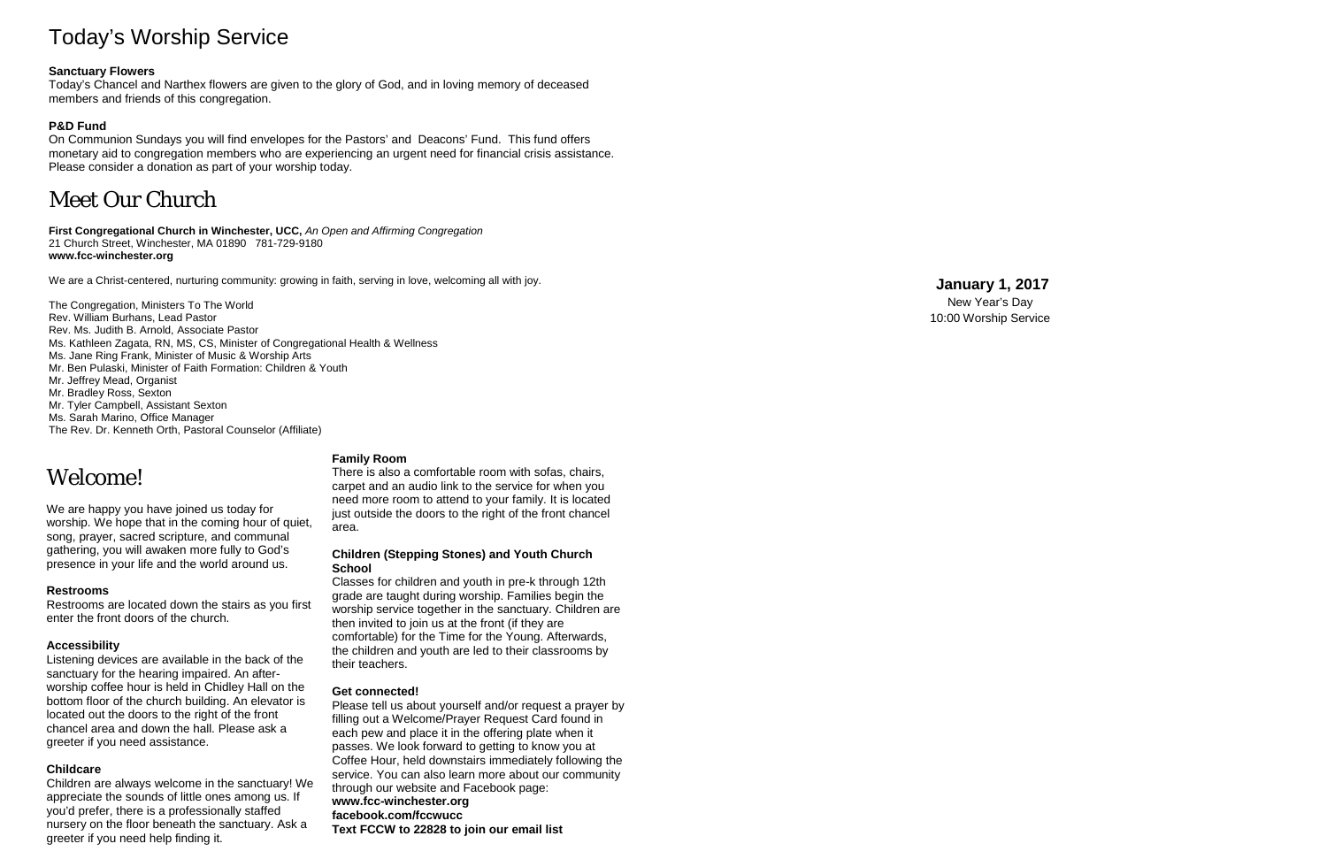# Today's Worship Service

### **Sanctuary Flowers**

Today's Chancel and Narthex flowers are given to the glory of God, and in loving memory of deceased members and friends of this congregation.

### **P&D Fund**

On Communion Sundays you will find envelopes for the Pastors' and Deacons' Fund. This fund offers monetary aid to congregation members who are experiencing an urgent need for financial crisis assistance. Please consider a donation as part of your worship today.

# Meet Our Church

**First Congregational Church in Winchester, UCC,** *An Open and Affirming Congregation* 21 Church Street, Winchester, MA 01890 781 -729 -9180 **www.fcc -winchester.org**

We are a Christ -centered, nurturing community: growing in faith, serving in love, welcoming all with joy.

The Congregation, Ministers To The World Rev. William Burhans, Lead Pastor Rev. Ms. Judith B. Arnold, Associate Pastor Ms. Kathleen Zagata, RN, MS, CS, Minister of Congregational Health & Wellness Ms. Jane Ring Frank, Minister of Music & Worship Arts Mr. Ben Pulaski, Minister of Faith Formation: Children & Youth Mr. Jeffrey Mead, Organist Mr. Bradley Ross, Sexton Mr. Tyler Campbell, Assistant Sexton Ms. Sarah Marino, Office Manager

The Rev. Dr. Kenneth Orth, Pastoral Counselor (Affiliate)

# Welcome!

We are happy you have joined us today for worship. We hope that in the coming hour of quiet, song, prayer, sacred scripture, and communal gathering, you will awaken more fully to God's presence in your life and the world around us.

#### **Restrooms**

Restrooms are located down the stairs as you first enter the front doors of the church.

#### **Accessibility**

Listening devices are available in the back of the sanctuary for the hearing impaired. An after worship coffee hour is held in Chidley Hall on the bottom floor of the church building. An elevator is located out the doors to the right of the front chancel area and down the hall. Please ask a greeter if you need assistance.

#### **Childcare**

Children are always welcome in the sanctuary! We appreciate the sounds of little ones among us. If you'd prefer, there is a professionally staffed nursery on the floor beneath the sanctuary. Ask a greeter if you need help finding it.

#### **Family Room**

There is also a comfortable room with sofas, chairs, carpet and an audio link to the service for when you need more room to attend to your family. It is located just outside the doors to the right of the front chancel area.

#### **Children (Stepping Stones) and Youth Church School**

Classes for children and youth in pre -k through 12th grade are taught during worship. Families begin the worship service together in the sanctuary. Children are then invited to join us at the front (if they are comfortable) for the Time for the Young. Afterwards, the children and youth are led to their classrooms by their teachers.

#### **Get connected!**

Please tell us about yourself and/or request a prayer by filling out a Welcome/Prayer Request Card found in each pew and place it in the offering plate when it passes. We look forward to getting to know you at Coffee Hour, held downstairs immediately following the service. You can also learn more about our community through our website and Facebook page: **www.fcc -winchester.org facebook.com/fccwucc Text FCCW to 22828 to join our email list**

### **January 1, 201 7**

New Year's Day 10:00 Worship Service